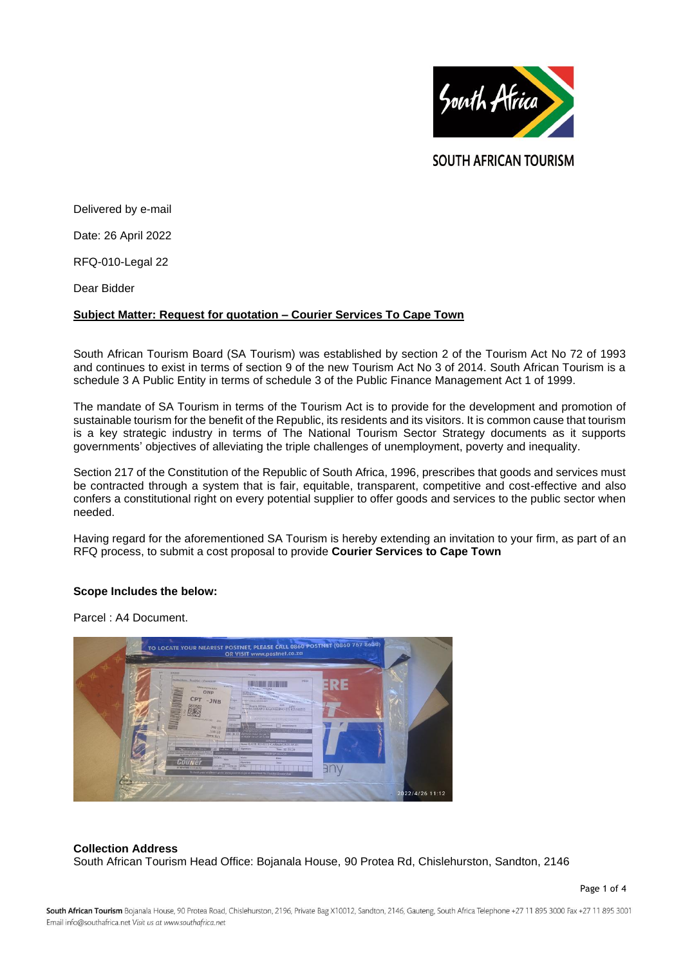

**SOUTH AFRICAN TOURISM** 

Delivered by e-mail

Date: 26 April 2022

RFQ-010-Legal 22

Dear Bidder

## **Subject Matter: Request for quotation – Courier Services To Cape Town**

South African Tourism Board (SA Tourism) was established by section 2 of the Tourism Act No 72 of 1993 and continues to exist in terms of section 9 of the new Tourism Act No 3 of 2014. South African Tourism is a schedule 3 A Public Entity in terms of schedule 3 of the Public Finance Management Act 1 of 1999.

The mandate of SA Tourism in terms of the Tourism Act is to provide for the development and promotion of sustainable tourism for the benefit of the Republic, its residents and its visitors. It is common cause that tourism is a key strategic industry in terms of The National Tourism Sector Strategy documents as it supports governments' objectives of alleviating the triple challenges of unemployment, poverty and inequality.

Section 217 of the Constitution of the Republic of South Africa, 1996, prescribes that goods and services must be contracted through a system that is fair, equitable, transparent, competitive and cost-effective and also confers a constitutional right on every potential supplier to offer goods and services to the public sector when needed.

Having regard for the aforementioned SA Tourism is hereby extending an invitation to your firm, as part of an RFQ process, to submit a cost proposal to provide **Courier Services to Cape Town**

# **Scope Includes the below:**

Parcel : A4 Document.



### **Collection Address**

South African Tourism Head Office: Bojanala House, 90 Protea Rd, Chislehurston, Sandton, 2146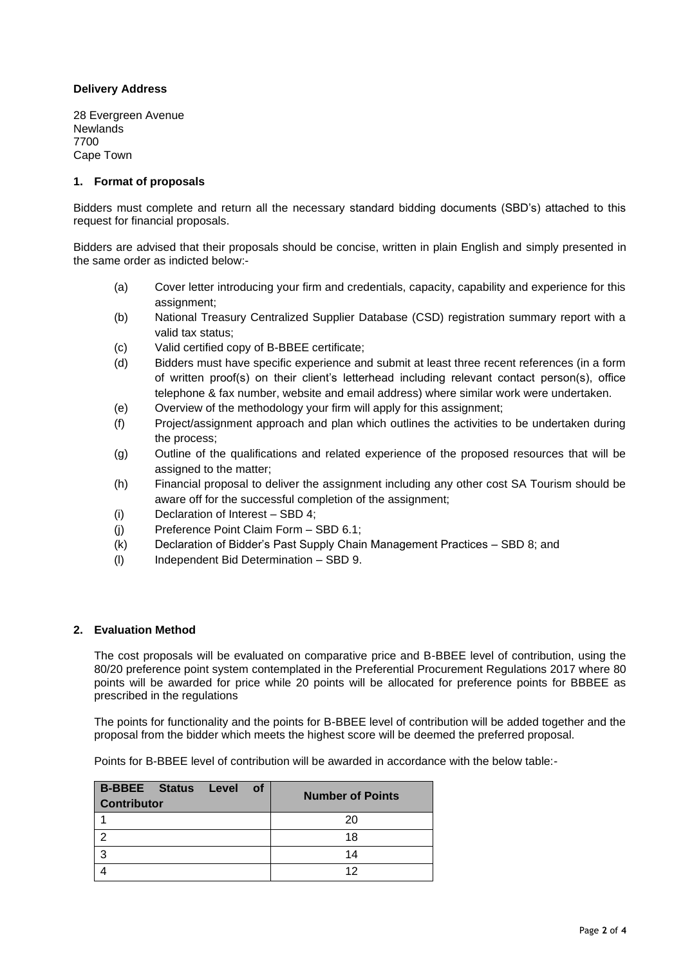# **Delivery Address**

28 Evergreen Avenue **Newlands** 7700 Cape Town

## **1. Format of proposals**

Bidders must complete and return all the necessary standard bidding documents (SBD's) attached to this request for financial proposals.

Bidders are advised that their proposals should be concise, written in plain English and simply presented in the same order as indicted below:-

- (a) Cover letter introducing your firm and credentials, capacity, capability and experience for this assignment;
- (b) National Treasury Centralized Supplier Database (CSD) registration summary report with a valid tax status;
- (c) Valid certified copy of B-BBEE certificate;
- (d) Bidders must have specific experience and submit at least three recent references (in a form of written proof(s) on their client's letterhead including relevant contact person(s), office telephone & fax number, website and email address) where similar work were undertaken.
- (e) Overview of the methodology your firm will apply for this assignment;
- (f) Project/assignment approach and plan which outlines the activities to be undertaken during the process;
- (g) Outline of the qualifications and related experience of the proposed resources that will be assigned to the matter;
- (h) Financial proposal to deliver the assignment including any other cost SA Tourism should be aware off for the successful completion of the assignment;
- (i) Declaration of Interest SBD 4;
- (j) Preference Point Claim Form SBD 6.1;
- (k) Declaration of Bidder's Past Supply Chain Management Practices SBD 8; and
- (l) Independent Bid Determination SBD 9.

### **2. Evaluation Method**

The cost proposals will be evaluated on comparative price and B-BBEE level of contribution, using the 80/20 preference point system contemplated in the Preferential Procurement Regulations 2017 where 80 points will be awarded for price while 20 points will be allocated for preference points for BBBEE as prescribed in the regulations

The points for functionality and the points for B-BBEE level of contribution will be added together and the proposal from the bidder which meets the highest score will be deemed the preferred proposal.

Points for B-BBEE level of contribution will be awarded in accordance with the below table:-

| <b>B-BBEE Status Level of</b><br><b>Contributor</b> | <b>Number of Points</b> |
|-----------------------------------------------------|-------------------------|
|                                                     | 20                      |
|                                                     | 18                      |
| っ                                                   | 14                      |
|                                                     | ィク                      |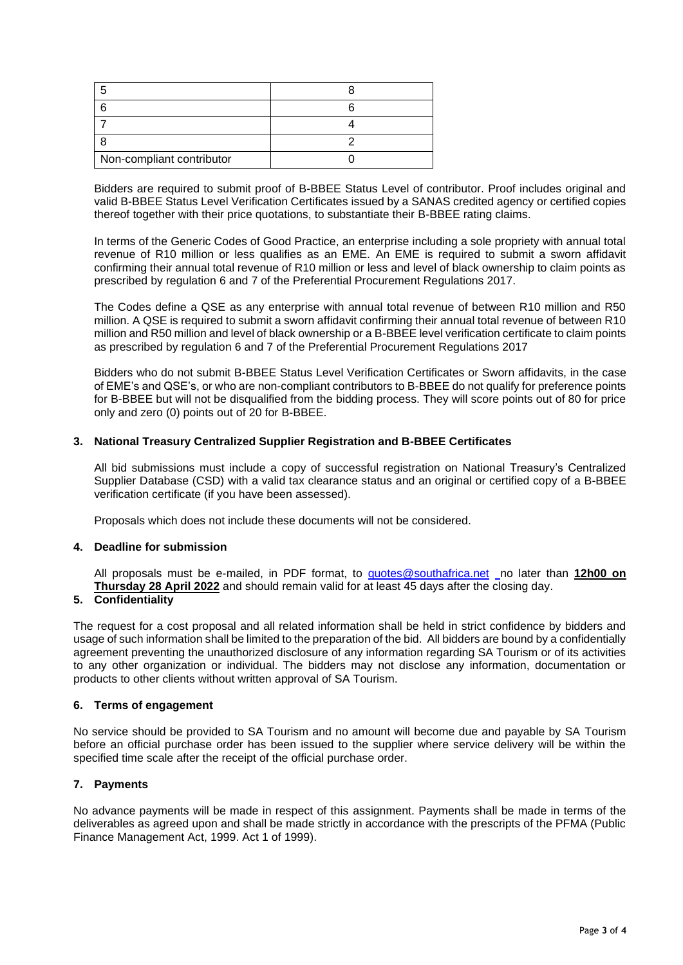| Non-compliant contributor |  |
|---------------------------|--|

Bidders are required to submit proof of B-BBEE Status Level of contributor. Proof includes original and valid B-BBEE Status Level Verification Certificates issued by a SANAS credited agency or certified copies thereof together with their price quotations, to substantiate their B-BBEE rating claims.

In terms of the Generic Codes of Good Practice, an enterprise including a sole propriety with annual total revenue of R10 million or less qualifies as an EME. An EME is required to submit a sworn affidavit confirming their annual total revenue of R10 million or less and level of black ownership to claim points as prescribed by regulation 6 and 7 of the Preferential Procurement Regulations 2017.

The Codes define a QSE as any enterprise with annual total revenue of between R10 million and R50 million. A QSE is required to submit a sworn affidavit confirming their annual total revenue of between R10 million and R50 million and level of black ownership or a B-BBEE level verification certificate to claim points as prescribed by regulation 6 and 7 of the Preferential Procurement Regulations 2017

Bidders who do not submit B-BBEE Status Level Verification Certificates or Sworn affidavits, in the case of EME's and QSE's, or who are non-compliant contributors to B-BBEE do not qualify for preference points for B-BBEE but will not be disqualified from the bidding process. They will score points out of 80 for price only and zero (0) points out of 20 for B-BBEE.

## **3. National Treasury Centralized Supplier Registration and B-BBEE Certificates**

All bid submissions must include a copy of successful registration on National Treasury's Centralized Supplier Database (CSD) with a valid tax clearance status and an original or certified copy of a B-BBEE verification certificate (if you have been assessed).

Proposals which does not include these documents will not be considered.

# **4. Deadline for submission**

All proposals must be e-mailed, in PDF format, to **[quotes@southafrica.net](mailto:sizakele@southafrica.net)** no later than **12h00 on Thursday 28 April 2022** and should remain valid for at least 45 days after the closing day.

### **5. Confidentiality**

The request for a cost proposal and all related information shall be held in strict confidence by bidders and usage of such information shall be limited to the preparation of the bid. All bidders are bound by a confidentially agreement preventing the unauthorized disclosure of any information regarding SA Tourism or of its activities to any other organization or individual. The bidders may not disclose any information, documentation or products to other clients without written approval of SA Tourism.

### **6. Terms of engagement**

No service should be provided to SA Tourism and no amount will become due and payable by SA Tourism before an official purchase order has been issued to the supplier where service delivery will be within the specified time scale after the receipt of the official purchase order.

# **7. Payments**

No advance payments will be made in respect of this assignment. Payments shall be made in terms of the deliverables as agreed upon and shall be made strictly in accordance with the prescripts of the PFMA (Public Finance Management Act, 1999. Act 1 of 1999).